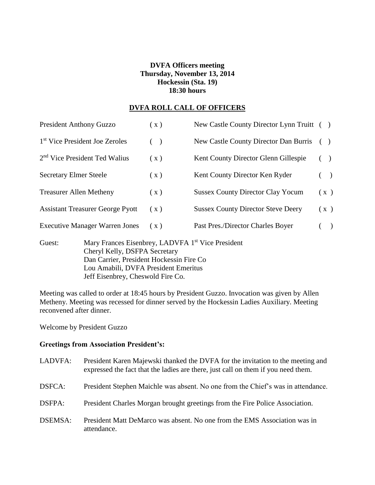# **DVFA Officers meeting Thursday, November 13, 2014 Hockessin (Sta. 19) 18:30 hours**

### **DVFA ROLL CALL OF OFFICERS**

| <b>President Anthony Guzzo</b>             |                                                                                                                                            | (x)   | New Castle County Director Lynn Truitt () |       |               |  |
|--------------------------------------------|--------------------------------------------------------------------------------------------------------------------------------------------|-------|-------------------------------------------|-------|---------------|--|
| 1 <sup>st</sup> Vice President Joe Zeroles |                                                                                                                                            | $($ ) | New Castle County Director Dan Burris     | (     |               |  |
| 2 <sup>nd</sup> Vice President Ted Walius  |                                                                                                                                            | (x)   | Kent County Director Glenn Gillespie      |       |               |  |
| <b>Secretary Elmer Steele</b>              |                                                                                                                                            | (x)   | Kent County Director Ken Ryder            | $($ ) |               |  |
| <b>Treasurer Allen Metheny</b>             |                                                                                                                                            | (x)   | <b>Sussex County Director Clay Yocum</b>  | (x)   |               |  |
| <b>Assistant Treasurer George Pyott</b>    |                                                                                                                                            | (x)   | <b>Sussex County Director Steve Deery</b> | (x)   |               |  |
| <b>Executive Manager Warren Jones</b>      |                                                                                                                                            | (X)   | Past Pres./Director Charles Boyer         |       | $\rightarrow$ |  |
| Guest:                                     | Mary Frances Eisenbrey, LADVFA 1 <sup>st</sup> Vice President<br>Cheryl Kelly, DSFPA Secretary<br>Dan Carrier, President Hockessin Fire Co |       |                                           |       |               |  |

Meeting was called to order at 18:45 hours by President Guzzo. Invocation was given by Allen Metheny. Meeting was recessed for dinner served by the Hockessin Ladies Auxiliary. Meeting reconvened after dinner.

Lou Amabili, DVFA President Emeritus

Jeff Eisenbrey, Cheswold Fire Co.

Welcome by President Guzzo

# **Greetings from Association President's:**

| LADVFA:        | President Karen Majewski thanked the DVFA for the invitation to the meeting and<br>expressed the fact that the ladies are there, just call on them if you need them. |
|----------------|----------------------------------------------------------------------------------------------------------------------------------------------------------------------|
| DSFCA:         | President Stephen Maichle was absent. No one from the Chief's was in attendance.                                                                                     |
| DSFPA:         | President Charles Morgan brought greetings from the Fire Police Association.                                                                                         |
| <b>DSEMSA:</b> | President Matt DeMarco was absent. No one from the EMS Association was in<br>attendance.                                                                             |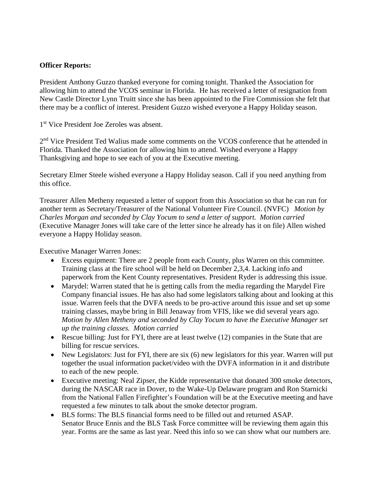### **Officer Reports:**

President Anthony Guzzo thanked everyone for coming tonight. Thanked the Association for allowing him to attend the VCOS seminar in Florida. He has received a letter of resignation from New Castle Director Lynn Truitt since she has been appointed to the Fire Commission she felt that there may be a conflict of interest. President Guzzo wished everyone a Happy Holiday season.

1 st Vice President Joe Zeroles was absent.

2<sup>nd</sup> Vice President Ted Walius made some comments on the VCOS conference that he attended in Florida. Thanked the Association for allowing him to attend. Wished everyone a Happy Thanksgiving and hope to see each of you at the Executive meeting.

Secretary Elmer Steele wished everyone a Happy Holiday season. Call if you need anything from this office.

Treasurer Allen Metheny requested a letter of support from this Association so that he can run for another term as Secretary/Treasurer of the National Volunteer Fire Council. (NVFC) *Motion by Charles Morgan and seconded by Clay Yocum to send a letter of support. Motion carried*  (Executive Manager Jones will take care of the letter since he already has it on file) Allen wished everyone a Happy Holiday season.

Executive Manager Warren Jones:

- Excess equipment: There are 2 people from each County, plus Warren on this committee. Training class at the fire school will be held on December 2,3,4. Lacking info and paperwork from the Kent County representatives. President Ryder is addressing this issue.
- Marydel: Warren stated that he is getting calls from the media regarding the Marydel Fire Company financial issues. He has also had some legislators talking about and looking at this issue. Warren feels that the DVFA needs to be pro-active around this issue and set up some training classes, maybe bring in Bill Jenaway from VFIS, like we did several years ago. *Motion by Allen Metheny and seconded by Clay Yocum to have the Executive Manager set up the training classes. Motion carried*
- Rescue billing: Just for FYI, there are at least twelve (12) companies in the State that are billing for rescue services.
- New Legislators: Just for FYI, there are six (6) new legislators for this year. Warren will put together the usual information packet/video with the DVFA information in it and distribute to each of the new people.
- Executive meeting: Neal Zipser, the Kidde representative that donated 300 smoke detectors, during the NASCAR race in Dover, to the Wake-Up Delaware program and Ron Starnicki from the National Fallen Firefighter's Foundation will be at the Executive meeting and have requested a few minutes to talk about the smoke detector program.
- BLS forms: The BLS financial forms need to be filled out and returned ASAP. Senator Bruce Ennis and the BLS Task Force committee will be reviewing them again this year. Forms are the same as last year. Need this info so we can show what our numbers are.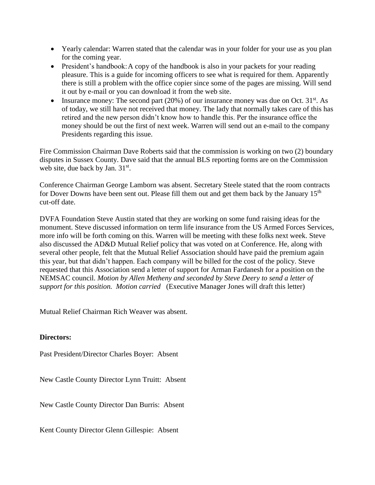- Yearly calendar: Warren stated that the calendar was in your folder for your use as you plan for the coming year.
- President's handbook: A copy of the handbook is also in your packets for your reading pleasure. This is a guide for incoming officers to see what is required for them. Apparently there is still a problem with the office copier since some of the pages are missing. Will send it out by e-mail or you can download it from the web site.
- Insurance money: The second part  $(20%)$  of our insurance money was due on Oct.  $31<sup>st</sup>$ . As of today, we still have not received that money. The lady that normally takes care of this has retired and the new person didn't know how to handle this. Per the insurance office the money should be out the first of next week. Warren will send out an e-mail to the company Presidents regarding this issue.

Fire Commission Chairman Dave Roberts said that the commission is working on two (2) boundary disputes in Sussex County. Dave said that the annual BLS reporting forms are on the Commission web site, due back by Jan. 31st.

Conference Chairman George Lamborn was absent. Secretary Steele stated that the room contracts for Dover Downs have been sent out. Please fill them out and get them back by the January 15<sup>th</sup> cut-off date.

DVFA Foundation Steve Austin stated that they are working on some fund raising ideas for the monument. Steve discussed information on term life insurance from the US Armed Forces Services, more info will be forth coming on this. Warren will be meeting with these folks next week. Steve also discussed the AD&D Mutual Relief policy that was voted on at Conference. He, along with several other people, felt that the Mutual Relief Association should have paid the premium again this year, but that didn't happen. Each company will be billed for the cost of the policy. Steve requested that this Association send a letter of support for Arman Fardanesh for a position on the NEMSAC council. *Motion by Allen Metheny and seconded by Steve Deery to send a letter of support for this position. Motion carried* (Executive Manager Jones will draft this letter)

Mutual Relief Chairman Rich Weaver was absent.

#### **Directors:**

Past President/Director Charles Boyer: Absent

New Castle County Director Lynn Truitt: Absent

New Castle County Director Dan Burris: Absent

Kent County Director Glenn Gillespie: Absent